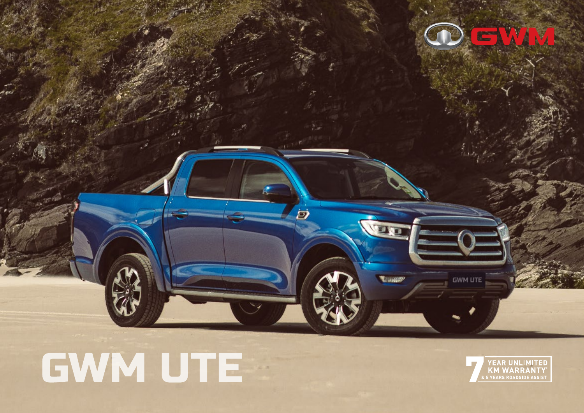

# GWM UTE

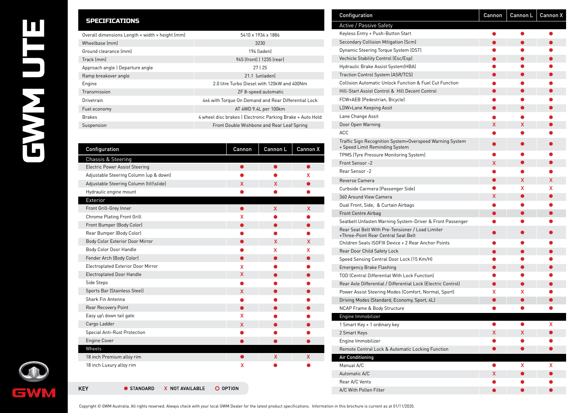## П  $\overline{\phantom{a}}$ EWY

#### SPECIFICATIONS

| Overall dimensions Length x width x height (mm) | 5410 x 1934 x 1886                                         |
|-------------------------------------------------|------------------------------------------------------------|
| Wheelbase (mm)                                  | 3230                                                       |
| Ground clearance (mm)                           | 194 (laden)                                                |
| Track (mm)                                      | 945 (front)   1235 (rear)                                  |
| Approach angle   Departure angle                | 27125                                                      |
| Ramp breakover angle                            | 21.1 (unladen)                                             |
| Engine                                          | 2.0 litre Turbo Diesel with 120kW and 400Nm                |
| Transmission                                    | ZF 8-speed automatic                                       |
| Drivetrain                                      | 4x4 with Torque On Demand and Rear Differential Lock       |
| Fuel economy                                    | AT 4WD 9.4L per 100km                                      |
| <b>Brakes</b>                                   | 4 wheel disc brakes   Electronic Parking Brake + Auto Hold |
| Suspension                                      | Front Double Wishbone and Rear Leaf Spring                 |
|                                                 |                                                            |

| Configuration                             | Cannon   | Cannon L | Cannon X |
|-------------------------------------------|----------|----------|----------|
| Chassis & Steering                        |          |          |          |
| <b>Electric Power Assist Steering</b>     |          | ●        | ●        |
| Adjustable Steering Column (up & down)    |          |          | x        |
| Adjustable Steering Column (tilt\slide)   | X        | x        |          |
| Hydraulic engine mount                    |          |          |          |
| Exterior                                  |          |          |          |
| Front Grill-Grey Inner                    | ●        | X        | X        |
| Chrome Plating Front Grill                | X        |          |          |
| Front Bumper (Body Color)                 |          |          |          |
| Rear Bumper (Body Color)                  |          |          |          |
| Body Color Exterior Door Mirror           |          | X        | x        |
| Body Color Door Handle                    |          | x        | x        |
| Fender Arch (Body Color)                  | O        |          |          |
| <b>Electroplated Exterior Door Mirror</b> | X        |          |          |
| <b>Electroplated Door Handle</b>          | X        |          |          |
| Side Steps                                |          |          |          |
| Sports Bar (Stainless Steel)              | X        |          |          |
| Shark Fin Antenna                         |          |          |          |
| Rear Recovery Point                       |          |          |          |
| Easy up\ down tail gate                   | X        |          |          |
| Cargo Ladder                              | X        |          |          |
| <b>Special Anti-Rust Protection</b>       |          |          |          |
| <b>Engine Cover</b>                       |          |          |          |
| Wheels                                    |          |          |          |
| 18 inch Premium alloy rim                 |          | x        | X        |
| 18 inch Luxury alloy rim                  | X        |          |          |
| <b>STANDARD</b><br>X NOT AVAILABLE<br>KEY | O OPTION |          |          |

| Configuration                                                                              | Cannon    | Cannon L  | Cannon X |
|--------------------------------------------------------------------------------------------|-----------|-----------|----------|
| Active / Passive Safety                                                                    |           |           |          |
| Keyless Entry + Push-Button Start                                                          |           |           |          |
| Secondary Collision Mitigation (Scm)                                                       |           |           |          |
| Dynamic Steering Torque System (DST)                                                       |           |           |          |
| <b>Vechicle Stability Control (Esc/Esp)</b>                                                |           |           |          |
| Hydraulic Brake Assist System (HBA)                                                        |           |           |          |
| Traction Control System (ASR/TCS)                                                          |           |           |          |
| <b>Collision Automatic Unlock Function &amp; Fuel Cut Function</b>                         |           |           |          |
| Hill-Start Assist Control & Hill Decent Control                                            |           |           |          |
| FCW+AEB (Pedestrian, Bicycle)                                                              |           |           |          |
| LDW+Lane Keeping Assit                                                                     |           |           |          |
| Lane Change Assit                                                                          |           |           |          |
| Door Open Warning                                                                          | x         | x         |          |
| <b>ACC</b>                                                                                 |           |           |          |
| Traffic Sign Recognition System+Overspeed Warning System<br>+ Speed Limit Reminding System |           |           |          |
| TPMS (Tyre Pressure Monitoring System)                                                     |           |           |          |
| Front Sensor -2                                                                            | x         |           |          |
| Rear Sensor -2                                                                             |           |           |          |
| Reverse Camera                                                                             | $\bullet$ | х         | х        |
| Curbside Carmera (Passenger Side)                                                          |           | х         | х        |
| 360 Around View Camera                                                                     | х         | ●         |          |
| Dual Front, Side, & Curtain Airbags                                                        |           |           |          |
| Front Centre Airbag                                                                        |           |           |          |
| Seatbelt Unfasten Warning System-Driver & Front Passenger                                  |           |           |          |
| Rear Seat Belt With Pre-Tensioner / Load Limiter<br>+Three-Point Rear Central Seat Belt    |           |           |          |
| Children Seats ISOFIX Device + 2 Rear Anchor Points                                        |           |           |          |
| Rear Door Child Safety Lock                                                                |           |           |          |
| Speed Sensing Central Door Lock (15 Km/H)                                                  |           |           |          |
| <b>Emergency Brake Flashing</b>                                                            | ●         |           |          |
| TOD (Central Differential With Lock Function)                                              |           |           |          |
| Rear Axle Differential / Differential Lock (Electric Control)                              | ●         | ●         |          |
| Power Assist Steering Modes (Comfort, Normal, Sport)                                       | х         | х         |          |
| Driving Modes (Standard, Economy, Sport, 4L)                                               |           |           |          |
| <b>NCAP Frame &amp; Body Structure</b>                                                     |           |           |          |
| Engine Immobilizer                                                                         |           |           |          |
| 1 Smart Key + 1 ordinary key                                                               | 0         | ●         | x        |
| 2 Smart Keys                                                                               | x         | x.        |          |
| Engine Immobilizer                                                                         |           |           |          |
| Remote Central Lock & Automatic Locking Function                                           |           |           |          |
| <b>Air Conditioning</b>                                                                    |           |           |          |
| Manual A/C                                                                                 | 0         | x         | х        |
| Automatic A/C                                                                              | x         |           |          |
| Rear A/C Vents                                                                             |           |           |          |
| A/C With Pollen Filter                                                                     | $\bullet$ | $\bullet$ |          |
|                                                                                            |           |           |          |

**GWM** 

Copyright © GWM Australia. All rights reserved. Always check with your local GWM Dealer for the latest product specifications. Information in this brochure is current as at 01/11/2020.